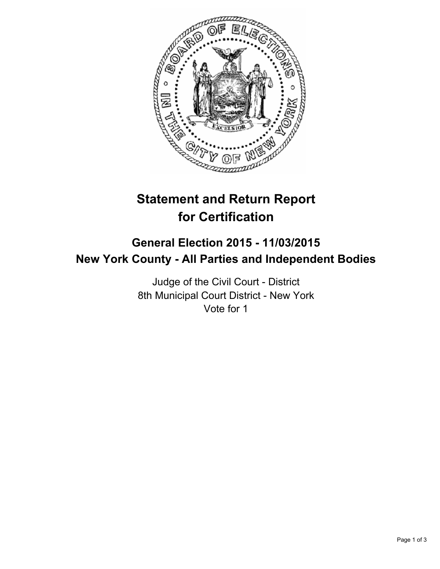

# **Statement and Return Report for Certification**

## **General Election 2015 - 11/03/2015 New York County - All Parties and Independent Bodies**

Judge of the Civil Court - District 8th Municipal Court District - New York Vote for 1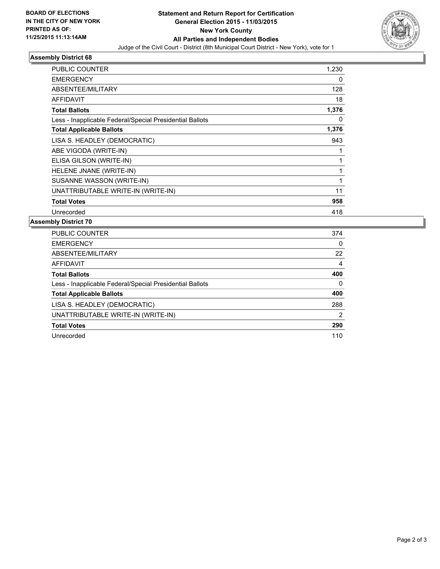

### **Assembly District 68**

| PUBLIC COUNTER                                           | 1,230        |
|----------------------------------------------------------|--------------|
| <b>EMERGENCY</b>                                         | 0            |
| ABSENTEE/MILITARY                                        | 128          |
| <b>AFFIDAVIT</b>                                         | 18           |
| <b>Total Ballots</b>                                     | 1,376        |
| Less - Inapplicable Federal/Special Presidential Ballots | 0            |
| <b>Total Applicable Ballots</b>                          | 1,376        |
| LISA S. HEADLEY (DEMOCRATIC)                             | 943          |
| ABE VIGODA (WRITE-IN)                                    |              |
| ELISA GILSON (WRITE-IN)                                  | $\mathbf{1}$ |
| HELENE JNANE (WRITE-IN)                                  | 1            |
| SUSANNE WASSON (WRITE-IN)                                | 1            |
| UNATTRIBUTABLE WRITE-IN (WRITE-IN)                       | 11           |
| <b>Total Votes</b>                                       | 958          |
| Unrecorded                                               | 418          |

#### **Assembly District 70**

| <b>PUBLIC COUNTER</b>                                    | 374 |
|----------------------------------------------------------|-----|
| <b>EMERGENCY</b>                                         | 0   |
| ABSENTEE/MILITARY                                        | 22  |
| <b>AFFIDAVIT</b>                                         | 4   |
| <b>Total Ballots</b>                                     | 400 |
| Less - Inapplicable Federal/Special Presidential Ballots | 0   |
| <b>Total Applicable Ballots</b>                          | 400 |
| LISA S. HEADLEY (DEMOCRATIC)                             | 288 |
| UNATTRIBUTABLE WRITE-IN (WRITE-IN)                       | 2   |
| <b>Total Votes</b>                                       | 290 |
| Unrecorded                                               | 110 |